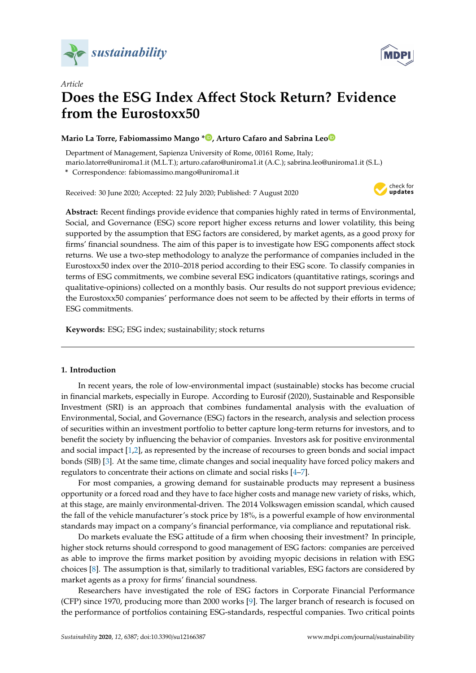



# *Article* **Does the ESG Index A**ff**ect Stock Return? Evidence from the Eurostoxx50**

# **Mario La Torre, Fabiomassimo Mango [\\*](https://orcid.org/0000-0002-3092-6731) , Arturo Cafaro and Sabrina Le[o](https://orcid.org/0000-0002-5157-2135)**

Department of Management, Sapienza University of Rome, 00161 Rome, Italy; mario.latorre@uniroma1.it (M.L.T.); arturo.cafaro@uniroma1.it (A.C.); sabrina.leo@uniroma1.it (S.L.)

**\*** Correspondence: fabiomassimo.mango@uniroma1.it

Received: 30 June 2020; Accepted: 22 July 2020; Published: 7 August 2020



**Abstract:** Recent findings provide evidence that companies highly rated in terms of Environmental, Social, and Governance (ESG) score report higher excess returns and lower volatility, this being supported by the assumption that ESG factors are considered, by market agents, as a good proxy for firms' financial soundness. The aim of this paper is to investigate how ESG components affect stock returns. We use a two-step methodology to analyze the performance of companies included in the Eurostoxx50 index over the 2010–2018 period according to their ESG score. To classify companies in terms of ESG commitments, we combine several ESG indicators (quantitative ratings, scorings and qualitative-opinions) collected on a monthly basis. Our results do not support previous evidence; the Eurostoxx50 companies' performance does not seem to be affected by their efforts in terms of ESG commitments.

**Keywords:** ESG; ESG index; sustainability; stock returns

## **1. Introduction**

In recent years, the role of low-environmental impact (sustainable) stocks has become crucial in financial markets, especially in Europe. According to Eurosif (2020), Sustainable and Responsible Investment (SRI) is an approach that combines fundamental analysis with the evaluation of Environmental, Social, and Governance (ESG) factors in the research, analysis and selection process of securities within an investment portfolio to better capture long-term returns for investors, and to benefit the society by influencing the behavior of companies. Investors ask for positive environmental and social impact [\[1,](#page-9-0)[2\]](#page-9-1), as represented by the increase of recourses to green bonds and social impact bonds (SIB) [\[3\]](#page-9-2). At the same time, climate changes and social inequality have forced policy makers and regulators to concentrate their actions on climate and social risks [\[4–](#page-9-3)[7\]](#page-10-0).

For most companies, a growing demand for sustainable products may represent a business opportunity or a forced road and they have to face higher costs and manage new variety of risks, which, at this stage, are mainly environmental-driven. The 2014 Volkswagen emission scandal, which caused the fall of the vehicle manufacturer's stock price by 18%, is a powerful example of how environmental standards may impact on a company's financial performance, via compliance and reputational risk.

Do markets evaluate the ESG attitude of a firm when choosing their investment? In principle, higher stock returns should correspond to good management of ESG factors: companies are perceived as able to improve the firms market position by avoiding myopic decisions in relation with ESG choices [\[8\]](#page-10-1). The assumption is that, similarly to traditional variables, ESG factors are considered by market agents as a proxy for firms' financial soundness.

Researchers have investigated the role of ESG factors in Corporate Financial Performance (CFP) since 1970, producing more than 2000 works [\[9\]](#page-10-2). The larger branch of research is focused on the performance of portfolios containing ESG-standards, respectful companies. Two critical points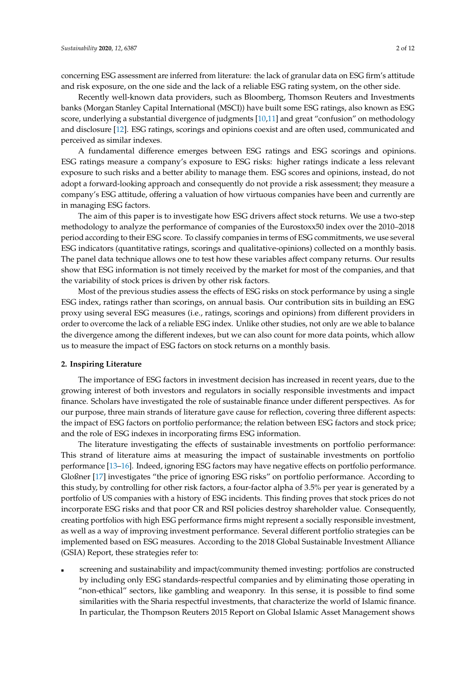concerning ESG assessment are inferred from literature: the lack of granular data on ESG firm's attitude and risk exposure, on the one side and the lack of a reliable ESG rating system, on the other side.

Recently well-known data providers, such as Bloomberg, Thomson Reuters and Investments banks (Morgan Stanley Capital International (MSCI)) have built some ESG ratings, also known as ESG score, underlying a substantial divergence of judgments [\[10,](#page-10-3)[11\]](#page-10-4) and great "confusion" on methodology and disclosure [\[12\]](#page-10-5). ESG ratings, scorings and opinions coexist and are often used, communicated and perceived as similar indexes.

A fundamental difference emerges between ESG ratings and ESG scorings and opinions. ESG ratings measure a company's exposure to ESG risks: higher ratings indicate a less relevant exposure to such risks and a better ability to manage them. ESG scores and opinions, instead, do not adopt a forward-looking approach and consequently do not provide a risk assessment; they measure a company's ESG attitude, offering a valuation of how virtuous companies have been and currently are in managing ESG factors.

The aim of this paper is to investigate how ESG drivers affect stock returns. We use a two-step methodology to analyze the performance of companies of the Eurostoxx50 index over the 2010–2018 period according to their ESG score. To classify companies in terms of ESG commitments, we use several ESG indicators (quantitative ratings, scorings and qualitative-opinions) collected on a monthly basis. The panel data technique allows one to test how these variables affect company returns. Our results show that ESG information is not timely received by the market for most of the companies, and that the variability of stock prices is driven by other risk factors.

Most of the previous studies assess the effects of ESG risks on stock performance by using a single ESG index, ratings rather than scorings, on annual basis. Our contribution sits in building an ESG proxy using several ESG measures (i.e., ratings, scorings and opinions) from different providers in order to overcome the lack of a reliable ESG index. Unlike other studies, not only are we able to balance the divergence among the different indexes, but we can also count for more data points, which allow us to measure the impact of ESG factors on stock returns on a monthly basis.

#### **2. Inspiring Literature**

The importance of ESG factors in investment decision has increased in recent years, due to the growing interest of both investors and regulators in socially responsible investments and impact finance. Scholars have investigated the role of sustainable finance under different perspectives. As for our purpose, three main strands of literature gave cause for reflection, covering three different aspects: the impact of ESG factors on portfolio performance; the relation between ESG factors and stock price; and the role of ESG indexes in incorporating firms ESG information.

The literature investigating the effects of sustainable investments on portfolio performance: This strand of literature aims at measuring the impact of sustainable investments on portfolio performance [\[13–](#page-10-6)[16\]](#page-10-7). Indeed, ignoring ESG factors may have negative effects on portfolio performance. Gloßner [\[17\]](#page-10-8) investigates "the price of ignoring ESG risks" on portfolio performance. According to this study, by controlling for other risk factors, a four-factor alpha of 3.5% per year is generated by a portfolio of US companies with a history of ESG incidents. This finding proves that stock prices do not incorporate ESG risks and that poor CR and RSI policies destroy shareholder value. Consequently, creating portfolios with high ESG performance firms might represent a socially responsible investment, as well as a way of improving investment performance. Several different portfolio strategies can be implemented based on ESG measures. According to the 2018 Global Sustainable Investment Alliance (GSIA) Report, these strategies refer to:

 screening and sustainability and impact/community themed investing: portfolios are constructed by including only ESG standards-respectful companies and by eliminating those operating in "non-ethical" sectors, like gambling and weaponry. In this sense, it is possible to find some similarities with the Sharia respectful investments, that characterize the world of Islamic finance. In particular, the Thompson Reuters 2015 Report on Global Islamic Asset Management shows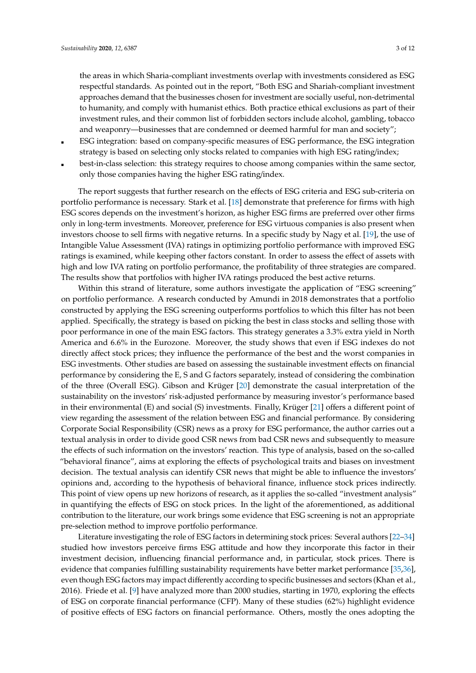the areas in which Sharia-compliant investments overlap with investments considered as ESG respectful standards. As pointed out in the report, "Both ESG and Shariah-compliant investment approaches demand that the businesses chosen for investment are socially useful, non-detrimental to humanity, and comply with humanist ethics. Both practice ethical exclusions as part of their investment rules, and their common list of forbidden sectors include alcohol, gambling, tobacco and weaponry—businesses that are condemned or deemed harmful for man and society";

- ESG integration: based on company-specific measures of ESG performance, the ESG integration strategy is based on selecting only stocks related to companies with high ESG rating/index;
- best-in-class selection: this strategy requires to choose among companies within the same sector, only those companies having the higher ESG rating/index.

The report suggests that further research on the effects of ESG criteria and ESG sub-criteria on portfolio performance is necessary. Stark et al. [\[18\]](#page-10-9) demonstrate that preference for firms with high ESG scores depends on the investment's horizon, as higher ESG firms are preferred over other firms only in long-term investments. Moreover, preference for ESG virtuous companies is also present when investors choose to sell firms with negative returns. In a specific study by Nagy et al. [\[19\]](#page-10-10), the use of Intangible Value Assessment (IVA) ratings in optimizing portfolio performance with improved ESG ratings is examined, while keeping other factors constant. In order to assess the effect of assets with high and low IVA rating on portfolio performance, the profitability of three strategies are compared. The results show that portfolios with higher IVA ratings produced the best active returns.

Within this strand of literature, some authors investigate the application of "ESG screening" on portfolio performance. A research conducted by Amundi in 2018 demonstrates that a portfolio constructed by applying the ESG screening outperforms portfolios to which this filter has not been applied. Specifically, the strategy is based on picking the best in class stocks and selling those with poor performance in one of the main ESG factors. This strategy generates a 3.3% extra yield in North America and 6.6% in the Eurozone. Moreover, the study shows that even if ESG indexes do not directly affect stock prices; they influence the performance of the best and the worst companies in ESG investments. Other studies are based on assessing the sustainable investment effects on financial performance by considering the E, S and G factors separately, instead of considering the combination of the three (Overall ESG). Gibson and Krüger [\[20\]](#page-10-11) demonstrate the casual interpretation of the sustainability on the investors' risk-adjusted performance by measuring investor's performance based in their environmental (E) and social (S) investments. Finally, Krüger [\[21\]](#page-10-12) offers a different point of view regarding the assessment of the relation between ESG and financial performance. By considering Corporate Social Responsibility (CSR) news as a proxy for ESG performance, the author carries out a textual analysis in order to divide good CSR news from bad CSR news and subsequently to measure the effects of such information on the investors' reaction. This type of analysis, based on the so-called "behavioral finance", aims at exploring the effects of psychological traits and biases on investment decision. The textual analysis can identify CSR news that might be able to influence the investors' opinions and, according to the hypothesis of behavioral finance, influence stock prices indirectly. This point of view opens up new horizons of research, as it applies the so-called "investment analysis" in quantifying the effects of ESG on stock prices. In the light of the aforementioned, as additional contribution to the literature, our work brings some evidence that ESG screening is not an appropriate pre-selection method to improve portfolio performance.

Literature investigating the role of ESG factors in determining stock prices: Several authors [\[22–](#page-10-13)[34\]](#page-11-0) studied how investors perceive firms ESG attitude and how they incorporate this factor in their investment decision, influencing financial performance and, in particular, stock prices. There is evidence that companies fulfilling sustainability requirements have better market performance [\[35](#page-11-1)[,36\]](#page-11-2), even though ESG factors may impact differently according to specific businesses and sectors (Khan et al., 2016). Friede et al. [\[9\]](#page-10-2) have analyzed more than 2000 studies, starting in 1970, exploring the effects of ESG on corporate financial performance (CFP). Many of these studies (62%) highlight evidence of positive effects of ESG factors on financial performance. Others, mostly the ones adopting the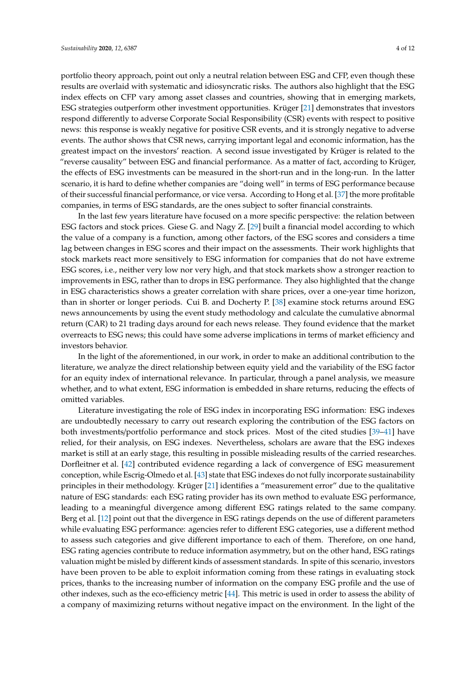portfolio theory approach, point out only a neutral relation between ESG and CFP, even though these results are overlaid with systematic and idiosyncratic risks. The authors also highlight that the ESG index effects on CFP vary among asset classes and countries, showing that in emerging markets, ESG strategies outperform other investment opportunities. Krüger [\[21\]](#page-10-12) demonstrates that investors respond differently to adverse Corporate Social Responsibility (CSR) events with respect to positive news: this response is weakly negative for positive CSR events, and it is strongly negative to adverse events. The author shows that CSR news, carrying important legal and economic information, has the greatest impact on the investors' reaction. A second issue investigated by Krüger is related to the "reverse causality" between ESG and financial performance. As a matter of fact, according to Krüger, the effects of ESG investments can be measured in the short-run and in the long-run. In the latter scenario, it is hard to define whether companies are "doing well" in terms of ESG performance because of their successful financial performance, or vice versa. According to Hong et al. [\[37\]](#page-11-3) the more profitable companies, in terms of ESG standards, are the ones subject to softer financial constraints.

In the last few years literature have focused on a more specific perspective: the relation between ESG factors and stock prices. Giese G. and Nagy Z. [\[29\]](#page-10-14) built a financial model according to which the value of a company is a function, among other factors, of the ESG scores and considers a time lag between changes in ESG scores and their impact on the assessments. Their work highlights that stock markets react more sensitively to ESG information for companies that do not have extreme ESG scores, i.e., neither very low nor very high, and that stock markets show a stronger reaction to improvements in ESG, rather than to drops in ESG performance. They also highlighted that the change in ESG characteristics shows a greater correlation with share prices, over a one-year time horizon, than in shorter or longer periods. Cui B. and Docherty P. [\[38\]](#page-11-4) examine stock returns around ESG news announcements by using the event study methodology and calculate the cumulative abnormal return (CAR) to 21 trading days around for each news release. They found evidence that the market overreacts to ESG news; this could have some adverse implications in terms of market efficiency and investors behavior.

In the light of the aforementioned, in our work, in order to make an additional contribution to the literature, we analyze the direct relationship between equity yield and the variability of the ESG factor for an equity index of international relevance. In particular, through a panel analysis, we measure whether, and to what extent, ESG information is embedded in share returns, reducing the effects of omitted variables.

Literature investigating the role of ESG index in incorporating ESG information: ESG indexes are undoubtedly necessary to carry out research exploring the contribution of the ESG factors on both investments/portfolio performance and stock prices. Most of the cited studies [\[39](#page-11-5)[–41\]](#page-11-6) have relied, for their analysis, on ESG indexes. Nevertheless, scholars are aware that the ESG indexes market is still at an early stage, this resulting in possible misleading results of the carried researches. Dorfleitner et al. [\[42\]](#page-11-7) contributed evidence regarding a lack of convergence of ESG measurement conception, while Escrig-Olmedo et al. [\[43\]](#page-11-8) state that ESG indexes do not fully incorporate sustainability principles in their methodology. Krüger [\[21\]](#page-10-12) identifies a "measurement error" due to the qualitative nature of ESG standards: each ESG rating provider has its own method to evaluate ESG performance, leading to a meaningful divergence among different ESG ratings related to the same company. Berg et al. [\[12\]](#page-10-5) point out that the divergence in ESG ratings depends on the use of different parameters while evaluating ESG performance: agencies refer to different ESG categories, use a different method to assess such categories and give different importance to each of them. Therefore, on one hand, ESG rating agencies contribute to reduce information asymmetry, but on the other hand, ESG ratings valuation might be misled by different kinds of assessment standards. In spite of this scenario, investors have been proven to be able to exploit information coming from these ratings in evaluating stock prices, thanks to the increasing number of information on the company ESG profile and the use of other indexes, such as the eco-efficiency metric [\[44\]](#page-11-9). This metric is used in order to assess the ability of a company of maximizing returns without negative impact on the environment. In the light of the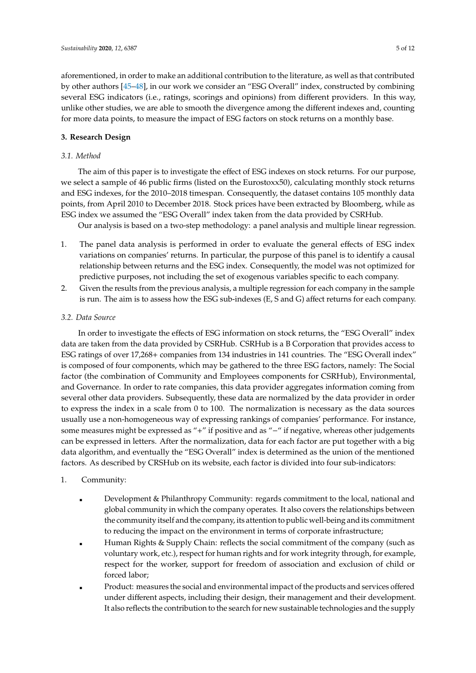aforementioned, in order to make an additional contribution to the literature, as well as that contributed by other authors [\[45](#page-11-10)[–48\]](#page-11-11), in our work we consider an "ESG Overall" index, constructed by combining several ESG indicators (i.e., ratings, scorings and opinions) from different providers. In this way, unlike other studies, we are able to smooth the divergence among the different indexes and, counting for more data points, to measure the impact of ESG factors on stock returns on a monthly base.

## **3. Research Design**

## *3.1. Method*

The aim of this paper is to investigate the effect of ESG indexes on stock returns. For our purpose, we select a sample of 46 public firms (listed on the Eurostoxx50), calculating monthly stock returns and ESG indexes, for the 2010–2018 timespan. Consequently, the dataset contains 105 monthly data points, from April 2010 to December 2018. Stock prices have been extracted by Bloomberg, while as ESG index we assumed the "ESG Overall" index taken from the data provided by CSRHub.

Our analysis is based on a two-step methodology: a panel analysis and multiple linear regression.

- 1. The panel data analysis is performed in order to evaluate the general effects of ESG index variations on companies' returns. In particular, the purpose of this panel is to identify a causal relationship between returns and the ESG index. Consequently, the model was not optimized for predictive purposes, not including the set of exogenous variables specific to each company.
- 2. Given the results from the previous analysis, a multiple regression for each company in the sample is run. The aim is to assess how the ESG sub-indexes (E, S and G) affect returns for each company.

#### *3.2. Data Source*

In order to investigate the effects of ESG information on stock returns, the "ESG Overall" index data are taken from the data provided by CSRHub. CSRHub is a B Corporation that provides access to ESG ratings of over 17,268+ companies from 134 industries in 141 countries. The "ESG Overall index" is composed of four components, which may be gathered to the three ESG factors, namely: The Social factor (the combination of Community and Employees components for CSRHub), Environmental, and Governance. In order to rate companies, this data provider aggregates information coming from several other data providers. Subsequently, these data are normalized by the data provider in order to express the index in a scale from 0 to 100. The normalization is necessary as the data sources usually use a non-homogeneous way of expressing rankings of companies' performance. For instance, some measures might be expressed as "+" if positive and as "-" if negative, whereas other judgements can be expressed in letters. After the normalization, data for each factor are put together with a big data algorithm, and eventually the "ESG Overall" index is determined as the union of the mentioned factors. As described by CRSHub on its website, each factor is divided into four sub-indicators:

## 1. Community:

- Development & Philanthropy Community: regards commitment to the local, national and global community in which the company operates. It also covers the relationships between the community itself and the company, its attention to public well-being and its commitment to reducing the impact on the environment in terms of corporate infrastructure;
- Human Rights & Supply Chain: reflects the social commitment of the company (such as voluntary work, etc.), respect for human rights and for work integrity through, for example, respect for the worker, support for freedom of association and exclusion of child or forced labor;
- Product: measures the social and environmental impact of the products and services offered under different aspects, including their design, their management and their development. It also reflects the contribution to the search for new sustainable technologies and the supply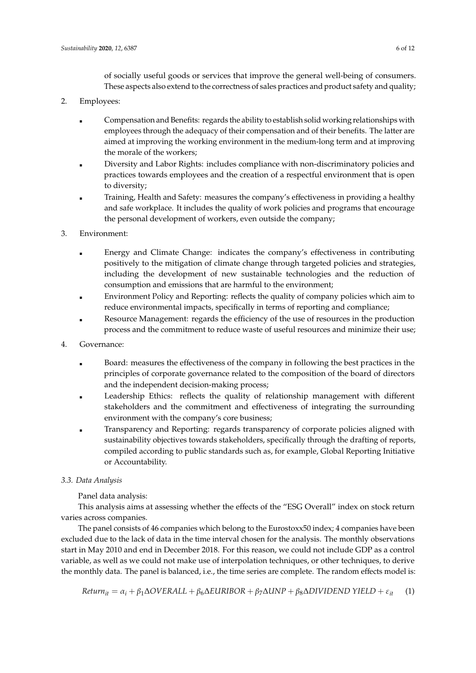of socially useful goods or services that improve the general well-being of consumers. These aspects also extend to the correctness of sales practices and product safety and quality;

- 2. Employees:
	- Compensation and Benefits: regards the ability to establish solid working relationships with employees through the adequacy of their compensation and of their benefits. The latter are aimed at improving the working environment in the medium-long term and at improving the morale of the workers;
	- Diversity and Labor Rights: includes compliance with non-discriminatory policies and practices towards employees and the creation of a respectful environment that is open to diversity;
	- Training, Health and Safety: measures the company's effectiveness in providing a healthy and safe workplace. It includes the quality of work policies and programs that encourage the personal development of workers, even outside the company;
- 3. Environment:
	- Energy and Climate Change: indicates the company's effectiveness in contributing positively to the mitigation of climate change through targeted policies and strategies, including the development of new sustainable technologies and the reduction of consumption and emissions that are harmful to the environment;
	- Environment Policy and Reporting: reflects the quality of company policies which aim to reduce environmental impacts, specifically in terms of reporting and compliance;
	- Resource Management: regards the efficiency of the use of resources in the production process and the commitment to reduce waste of useful resources and minimize their use;
- 4. Governance:
	- Board: measures the effectiveness of the company in following the best practices in the principles of corporate governance related to the composition of the board of directors and the independent decision-making process;
	- Leadership Ethics: reflects the quality of relationship management with different stakeholders and the commitment and effectiveness of integrating the surrounding environment with the company's core business;
	- Transparency and Reporting: regards transparency of corporate policies aligned with sustainability objectives towards stakeholders, specifically through the drafting of reports, compiled according to public standards such as, for example, Global Reporting Initiative or Accountability.

# *3.3. Data Analysis*

Panel data analysis:

This analysis aims at assessing whether the effects of the "ESG Overall" index on stock return varies across companies.

The panel consists of 46 companies which belong to the Eurostoxx50 index; 4 companies have been excluded due to the lack of data in the time interval chosen for the analysis. The monthly observations start in May 2010 and end in December 2018. For this reason, we could not include GDP as a control variable, as well as we could not make use of interpolation techniques, or other techniques, to derive the monthly data. The panel is balanced, i.e., the time series are complete. The random effects model is:

$$
Return_{it} = \alpha_i + \beta_1 \Delta OVERALL + \beta_6 \Delta EURIBOR + \beta_7 \Delta UNP + \beta_8 \Delta DIVIDEND YIED + \varepsilon_{it}
$$
 (1)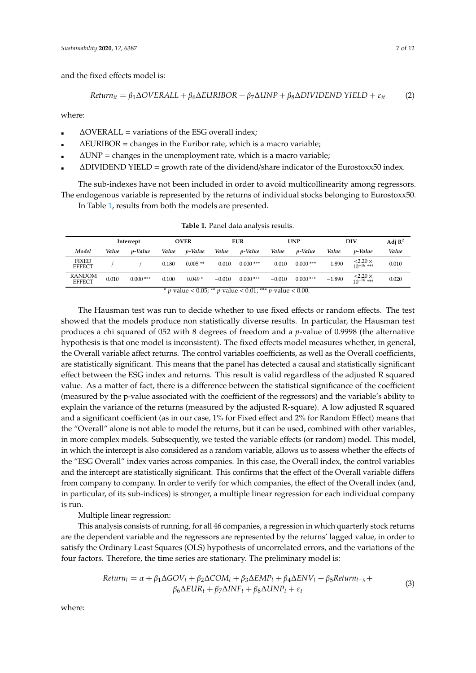and the fixed effects model is:

$$
Return_{it} = \beta_1 \Delta OVERALL + \beta_6 \Delta EURIBOR + \beta_7 \Delta UNP + \beta_8 \Delta DIVIDEND YIED + \varepsilon_{it}
$$
 (2)

where:

- $\Delta$ OVERALL = variations of the ESG overall index;
- ∆EURIBOR = changes in the Euribor rate, which is a macro variable;
- $\Delta$ UNP = changes in the unemployment rate, which is a macro variable;
- ∆DIVIDEND YIELD = growth rate of the dividend/share indicator of the Eurostoxx50 index.

The sub-indexes have not been included in order to avoid multicollinearity among regressors. The endogenous variable is represented by the returns of individual stocks belonging to Eurostoxx50.

In Table [1,](#page-6-0) results from both the models are presented.

<span id="page-6-0"></span>

|                                                                                  | Intercept |                 | <b>OVER</b> |                 | <b>EUR</b> |                 | <b>UNP</b> |                 | DIV      |                             | Adj $\mathbb{R}^2$ |
|----------------------------------------------------------------------------------|-----------|-----------------|-------------|-----------------|------------|-----------------|------------|-----------------|----------|-----------------------------|--------------------|
| Model                                                                            | Value     | <i>v</i> -Value | Value       | <i>v</i> -Value | Value      | <i>v</i> -Value | Value      | <i>p</i> -Value | Value    | <i>v</i> -Value             | Value              |
| <b>FIXED</b><br><b>EFFECT</b>                                                    |           |                 | 0.180       | $0.005**$       | $-0.010$   | $0.000$ ***     | $-0.010$   | $0.000$ ***     | $-1.890$ | $\leq 2.20 \times 10^{-16}$ | 0.010              |
| <b>RANDOM</b><br><b>EFFECT</b>                                                   | 0.010     | $0.000$ ***     | 0.100       | $0.049*$        | $-0.010$   | $0.000$ ***     | $-0.010$   | $0.000$ ***     | $-1.890$ | $\leq 2.20 \times 10^{-16}$ | 0.020              |
| * <i>p</i> -value < 0.05; ** <i>p</i> -value < 0.01; *** <i>p</i> -value < 0.00. |           |                 |             |                 |            |                 |            |                 |          |                             |                    |

**Table 1.** Panel data analysis results.

The Hausman test was run to decide whether to use fixed effects or random effects. The test showed that the models produce non statistically diverse results. In particular, the Hausman test produces a chi squared of 052 with 8 degrees of freedom and a *p*-value of 0.9998 (the alternative hypothesis is that one model is inconsistent). The fixed effects model measures whether, in general, the Overall variable affect returns. The control variables coefficients, as well as the Overall coefficients, are statistically significant. This means that the panel has detected a causal and statistically significant effect between the ESG index and returns. This result is valid regardless of the adjusted R squared value. As a matter of fact, there is a difference between the statistical significance of the coefficient (measured by the p-value associated with the coefficient of the regressors) and the variable's ability to explain the variance of the returns (measured by the adjusted R-square). A low adjusted R squared and a significant coefficient (as in our case, 1% for Fixed effect and 2% for Random Effect) means that the "Overall" alone is not able to model the returns, but it can be used, combined with other variables, in more complex models. Subsequently, we tested the variable effects (or random) model. This model, in which the intercept is also considered as a random variable, allows us to assess whether the effects of the "ESG Overall" index varies across companies. In this case, the Overall index, the control variables and the intercept are statistically significant. This confirms that the effect of the Overall variable differs from company to company. In order to verify for which companies, the effect of the Overall index (and, in particular, of its sub-indices) is stronger, a multiple linear regression for each individual company is run.

Multiple linear regression:

This analysis consists of running, for all 46 companies, a regression in which quarterly stock returns are the dependent variable and the regressors are represented by the returns' lagged value, in order to satisfy the Ordinary Least Squares (OLS) hypothesis of uncorrelated errors, and the variations of the four factors. Therefore, the time series are stationary. The preliminary model is:

$$
Return_t = \alpha + \beta_1 \Delta GOV_t + \beta_2 \Delta COM_t + \beta_3 \Delta EMP_t + \beta_4 \Delta ENV_t + \beta_5 Return_{t-n} + \beta_6 \Delta EUR_t + \beta_7 \Delta INF_t + \beta_8 \Delta UNP_t + \varepsilon_t
$$
\n(3)

where: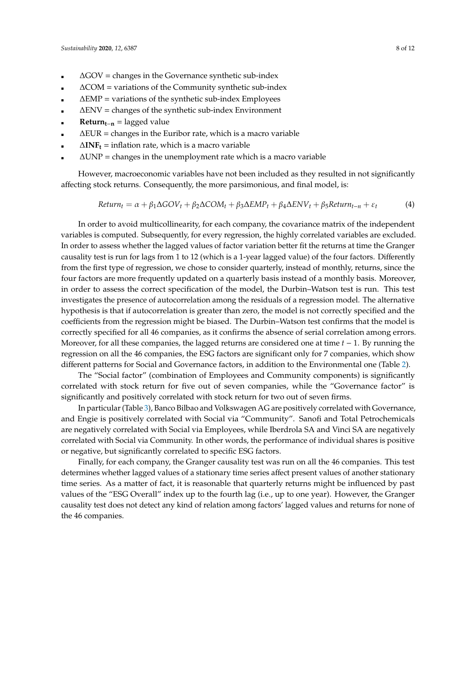- ∆GOV = changes in the Governance synthetic sub-index
- ∆COM = variations of the Community synthetic sub-index
- ∆EMP = variations of the synthetic sub-index Employees
- ∆ENV = changes of the synthetic sub-index Environment
- **Return**<sub>t−n</sub> = lagged value
- ∆EUR = changes in the Euribor rate, which is a macro variable
- ∆**INF<sup>t</sup>** = inflation rate, which is a macro variable
- $\Delta$ UNP = changes in the unemployment rate which is a macro variable

However, macroeconomic variables have not been included as they resulted in not significantly affecting stock returns. Consequently, the more parsimonious, and final model, is:

$$
Return_t = \alpha + \beta_1 \Delta GOV_t + \beta_2 \Delta COM_t + \beta_3 \Delta EMP_t + \beta_4 \Delta ENV_t + \beta_5 Return_{t-n} + \varepsilon_t
$$
\n(4)

In order to avoid multicollinearity, for each company, the covariance matrix of the independent variables is computed. Subsequently, for every regression, the highly correlated variables are excluded. In order to assess whether the lagged values of factor variation better fit the returns at time the Granger causality test is run for lags from 1 to 12 (which is a 1-year lagged value) of the four factors. Differently from the first type of regression, we chose to consider quarterly, instead of monthly, returns, since the four factors are more frequently updated on a quarterly basis instead of a monthly basis. Moreover, in order to assess the correct specification of the model, the Durbin–Watson test is run. This test investigates the presence of autocorrelation among the residuals of a regression model. The alternative hypothesis is that if autocorrelation is greater than zero, the model is not correctly specified and the coefficients from the regression might be biased. The Durbin–Watson test confirms that the model is correctly specified for all 46 companies, as it confirms the absence of serial correlation among errors. Moreover, for all these companies, the lagged returns are considered one at time *t* − 1. By running the regression on all the 46 companies, the ESG factors are significant only for 7 companies, which show different patterns for Social and Governance factors, in addition to the Environmental one (Table [2\)](#page-8-0).

The "Social factor" (combination of Employees and Community components) is significantly correlated with stock return for five out of seven companies, while the "Governance factor" is significantly and positively correlated with stock return for two out of seven firms.

In particular (Table [3\)](#page-9-4), Banco Bilbao and Volkswagen AG are positively correlated with Governance, and Engie is positively correlated with Social via "Community". Sanofi and Total Petrochemicals are negatively correlated with Social via Employees, while Iberdrola SA and Vinci SA are negatively correlated with Social via Community. In other words, the performance of individual shares is positive or negative, but significantly correlated to specific ESG factors.

Finally, for each company, the Granger causality test was run on all the 46 companies. This test determines whether lagged values of a stationary time series affect present values of another stationary time series. As a matter of fact, it is reasonable that quarterly returns might be influenced by past values of the "ESG Overall" index up to the fourth lag (i.e., up to one year). However, the Granger causality test does not detect any kind of relation among factors' lagged values and returns for none of the 46 companies.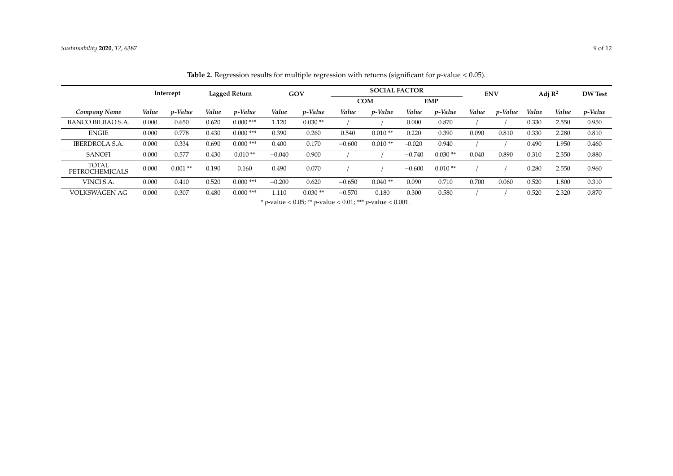<span id="page-8-0"></span>

|                                       | Intercept |            | Lagged Return |                 | GOV      |                                          | <b>SOCIAL FACTOR</b> |                 |               |           | <b>ENV</b> |         | Adj $\mathbb{R}^2$ |       | <b>DW Test</b> |
|---------------------------------------|-----------|------------|---------------|-----------------|----------|------------------------------------------|----------------------|-----------------|---------------|-----------|------------|---------|--------------------|-------|----------------|
|                                       |           |            |               |                 |          | <b>COM</b>                               |                      | <b>EMP</b>      |               |           |            |         |                    |       |                |
| Company Name                          | Value     | p-Value    | Value         | <i>v</i> -Value | Value    | p-Value                                  | Value                | <i>p</i> -Value | Value         | p-Value   | Value      | p-Value | Value              | Value | p-Value        |
| BANCO BILBAO S.A.                     | 0.000     | 0.650      | 0.620         | $0.000$ ***     | 1.120    | $0.030**$                                |                      |                 | 0.000         | 0.870     |            |         | 0.330              | 2.550 | 0.950          |
| <b>ENGIE</b>                          | 0.000     | 0.778      | 0.430         | $0.000$ ***     | 0.390    | 0.260                                    | 0.540                | $0.010**$       | 0.220         | 0.390     | 0.090      | 0.810   | 0.330              | 2.280 | 0.810          |
| <b>IBERDROLA S.A.</b>                 | 0.000     | 0.334      | 0.690         | $0.000$ ***     | 0.400    | 0.170                                    | $-0.600$             | $0.010**$       | $-0.020$      | 0.940     |            |         | 0.490              | 1.950 | 0.460          |
| <b>SANOFI</b>                         | 0.000     | 0.577      | 0.430         | $0.010**$       | $-0.040$ | 0.900                                    |                      |                 | $-0.740$      | $0.030**$ | 0.040      | 0.890   | 0.310              | 2.350 | 0.880          |
| <b>TOTAL</b><br><b>PETROCHEMICALS</b> | 0.000     | $0.001$ ** | 0.190         | 0.160           | 0.490    | 0.070                                    |                      |                 | $-0.600$      | $0.010**$ |            |         | 0.280              | 2.550 | 0.960          |
| VINCI S.A.                            | 0.000     | 0.410      | 0.520         | $0.000$ ***     | $-0.200$ | 0.620                                    | $-0.650$             | $0.040**$       | 0.090         | 0.710     | 0.700      | 0.060   | 0.520              | 1.800 | 0.310          |
| <b>VOLKSWAGEN AG</b>                  | 0.000     | 0.307      | 0.480         | $0.000$ ***     | 1.110    | $0.030**$<br>$\sim$ $\sim$ $\sim$ $\sim$ | $-0.570$<br>0.04.04  | 0.180           | 0.300<br>0.02 | 0.580     |            |         | 0.520              | 2.320 | 0.870          |

**Table 2.** Regression results for multiple regression with returns (significant for *p*-value < 0.05).

\* *p*-value < 0.05; \*\* *p*-value < 0.01; \*\*\* *p*-value < 0.001.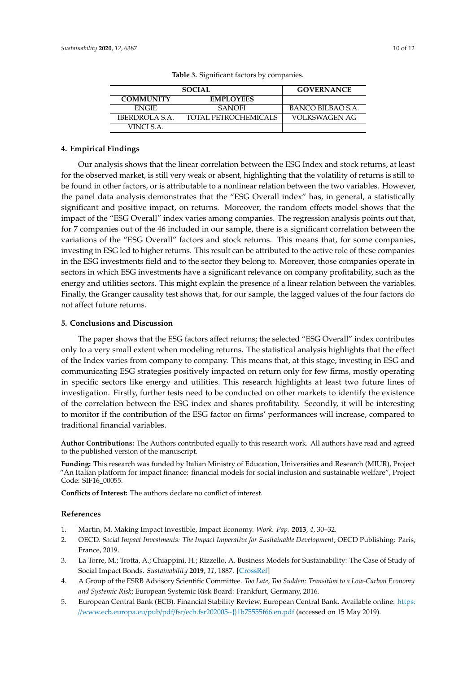<span id="page-9-4"></span>

| <b>SOCIAL</b>    | <b>GOVERNANCE</b>           |                      |  |  |  |
|------------------|-----------------------------|----------------------|--|--|--|
| <b>COMMUNITY</b> | <b>EMPLOYEES</b>            |                      |  |  |  |
| <b>ENGIE</b>     | <b>SANOFI</b>               | BANCO BILBAO S.A.    |  |  |  |
| IBERDROLA S.A.   | <b>TOTAL PETROCHEMICALS</b> | <b>VOLKSWAGEN AG</b> |  |  |  |
| VINCI S.A.       |                             |                      |  |  |  |

**Table 3.** Significant factors by companies.

## **4. Empirical Findings**

Our analysis shows that the linear correlation between the ESG Index and stock returns, at least for the observed market, is still very weak or absent, highlighting that the volatility of returns is still to be found in other factors, or is attributable to a nonlinear relation between the two variables. However, the panel data analysis demonstrates that the "ESG Overall index" has, in general, a statistically significant and positive impact, on returns. Moreover, the random effects model shows that the impact of the "ESG Overall" index varies among companies. The regression analysis points out that, for 7 companies out of the 46 included in our sample, there is a significant correlation between the variations of the "ESG Overall" factors and stock returns. This means that, for some companies, investing in ESG led to higher returns. This result can be attributed to the active role of these companies in the ESG investments field and to the sector they belong to. Moreover, those companies operate in sectors in which ESG investments have a significant relevance on company profitability, such as the energy and utilities sectors. This might explain the presence of a linear relation between the variables. Finally, the Granger causality test shows that, for our sample, the lagged values of the four factors do not affect future returns.

#### **5. Conclusions and Discussion**

The paper shows that the ESG factors affect returns; the selected "ESG Overall" index contributes only to a very small extent when modeling returns. The statistical analysis highlights that the effect of the Index varies from company to company. This means that, at this stage, investing in ESG and communicating ESG strategies positively impacted on return only for few firms, mostly operating in specific sectors like energy and utilities. This research highlights at least two future lines of investigation. Firstly, further tests need to be conducted on other markets to identify the existence of the correlation between the ESG index and shares profitability. Secondly, it will be interesting to monitor if the contribution of the ESG factor on firms' performances will increase, compared to traditional financial variables.

**Author Contributions:** The Authors contributed equally to this research work. All authors have read and agreed to the published version of the manuscript.

**Funding:** This research was funded by Italian Ministry of Education, Universities and Research (MIUR), Project "An Italian platform for impact finance: financial models for social inclusion and sustainable welfare", Project Code: SIF16\_00055.

**Conflicts of Interest:** The authors declare no conflict of interest.

#### **References**

- <span id="page-9-0"></span>1. Martin, M. Making Impact Investible, Impact Economy. *Work. Pap.* **2013**, *4*, 30–32.
- <span id="page-9-1"></span>2. OECD. *Social Impact Investments: The Impact Imperative for Susitainable Development*; OECD Publishing: Paris, France, 2019.
- <span id="page-9-2"></span>3. La Torre, M.; Trotta, A.; Chiappini, H.; Rizzello, A. Business Models for Sustainability: The Case of Study of Social Impact Bonds. *Sustainability* **2019**, *11*, 1887. [\[CrossRef\]](http://dx.doi.org/10.3390/su11071887)
- <span id="page-9-3"></span>4. A Group of the ESRB Advisory Scientific Committee. *Too Late, Too Sudden: Transition to a Low-Carbon Economy and Systemic Risk*; European Systemic Risk Board: Frankfurt, Germany, 2016.
- 5. European Central Bank (ECB). Financial Stability Review, European Central Bank. Available online: [https:](https://www.ecb.europa.eu/pub/pdf/fsr/ecb.fsr202005~{}1b75555f66.en.pdf) //www.ecb.europa.eu/pub/pdf/fsr/[ecb.fsr202005~{}1b75555f66.en.pdf](https://www.ecb.europa.eu/pub/pdf/fsr/ecb.fsr202005~{}1b75555f66.en.pdf) (accessed on 15 May 2019).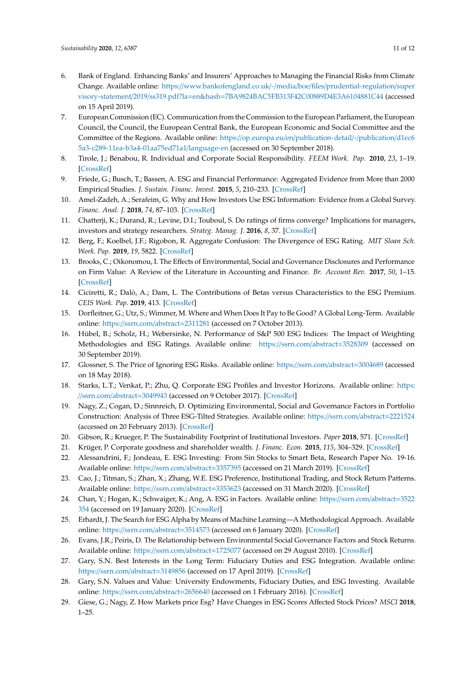- 6. Bank of England. Enhancing Banks' and Insurers' Approaches to Managing the Financial Risks from Climate Change. Available online: https://[www.bankofengland.co.uk](https://www.bankofengland.co.uk/-/media/boe/files/prudential-regulation/supervisory-statement/2019/ss319.pdf?la=en&hash=7BA9824BAC5FB313F42C00889D4E3A6104881C44)/-/media/boe/files/prudential-regulation/super visory-statement/2019/ss319.pdf?la=en&hash=[7BA9824BAC5FB313F42C00889D4E3A6104881C44](https://www.bankofengland.co.uk/-/media/boe/files/prudential-regulation/supervisory-statement/2019/ss319.pdf?la=en&hash=7BA9824BAC5FB313F42C00889D4E3A6104881C44) (accessed on 15 April 2019).
- <span id="page-10-0"></span>7. European Commission (EC). Communication from the Commission to the European Parliament, the European Council, the Council, the European Central Bank, the European Economic and Social Committee and the Committee of the Regions. Available online: https://op.europa.eu/en/[publication-detail](https://op.europa.eu/en/publication-detail/-/publication/d1ec65a3-c289-11ea-b3a4-01aa75ed71a1/language-en)/-/publication/d1ec6 [5a3-c289-11ea-b3a4-01aa75ed71a1](https://op.europa.eu/en/publication-detail/-/publication/d1ec65a3-c289-11ea-b3a4-01aa75ed71a1/language-en)/language-en (accessed on 30 September 2018).
- <span id="page-10-1"></span>8. Tirole, J.; Bénabou, R. Individual and Corporate Social Responsibility. *FEEM Work. Pap.* **2010**, *23*, 1–19. [\[CrossRef\]](http://dx.doi.org/10.2139/ssrn.1573694)
- <span id="page-10-2"></span>9. Friede, G.; Busch, T.; Bassen, A. ESG and Financial Performance: Aggregated Evidence from More than 2000 Empirical Studies. *J. Sustain. Financ. Invest.* **2015**, *5*, 210–233. [\[CrossRef\]](http://dx.doi.org/10.1080/20430795.2015.1118917)
- <span id="page-10-3"></span>10. Amel-Zadeh, A.; Serafeim, G. Why and How Investors Use ESG Information: Evidence from a Global Survey. *Financ. Anal. J.* **2018**, *74*, 87–103. [\[CrossRef\]](http://dx.doi.org/10.2469/faj.v74.n3.2)
- <span id="page-10-4"></span>11. Chatterji, K.; Durand, R.; Levine, D.I.; Touboul, S. Do ratings of firms converge? Implications for managers, investors and strategy researchers. *Strateg. Manag. J.* **2016**, *8*, 37. [\[CrossRef\]](http://dx.doi.org/10.1002/smj.2407)
- <span id="page-10-5"></span>12. Berg, F.; Koelbel, J.F.; Rigobon, R. Aggregate Confusion: The Divergence of ESG Rating. *MIT Sloan Sch. Work. Pap.* **2019**, *19*, 5822. [\[CrossRef\]](http://dx.doi.org/10.2139/ssrn.3438533)
- <span id="page-10-6"></span>13. Brooks, C.; Oikonomou, I. The Effects of Environmental, Social and Governance Disclosures and Performance on Firm Value: A Review of the Literature in Accounting and Finance. *Br. Account Rev.* **2017**, *50*, 1–15. [\[CrossRef\]](http://dx.doi.org/10.1016/j.bar.2017.11.005)
- 14. Ciciretti, R.; Dalò, A.; Dam, L. The Contributions of Betas versus Characteristics to the ESG Premium. *CEIS Work. Pap.* **2019**, 413. [\[CrossRef\]](http://dx.doi.org/10.2139/ssrn.3010234)
- 15. Dorfleitner, G.; Utz, S.; Wimmer, M. Where and When Does It Pay to Be Good? A Global Long-Term. Available online: https://[ssrn.com](https://ssrn.com/abstract=2311281)/abstract=2311281 (accessed on 7 October 2013).
- <span id="page-10-7"></span>16. Hübel, B.; Scholz, H.; Webersinke, N. Performance of S&P 500 ESG Indices: The Impact of Weighting Methodologies and ESG Ratings. Available online: https://[ssrn.com](https://ssrn.com/abstract=3528309)/abstract=3528309 (accessed on 30 September 2019).
- <span id="page-10-8"></span>17. Glossner, S. The Price of Ignoring ESG Risks. Available online: https://[ssrn.com](https://ssrn.com/abstract=3004689)/abstract=3004689 (accessed on 18 May 2018).
- <span id="page-10-9"></span>18. Starks, L.T.; Venkat, P.; Zhu, Q. Corporate ESG Profiles and Investor Horizons. Available online: [https:](https://ssrn.com/abstract=3049943) //[ssrn.com](https://ssrn.com/abstract=3049943)/abstract=3049943 (accessed on 9 October 2017). [\[CrossRef\]](http://dx.doi.org/10.2139/ssrn.3049943)
- <span id="page-10-10"></span>19. Nagy, Z.; Cogan, D.; Sinnreich, D. Optimizing Environmental, Social and Governance Factors in Portfolio Construction: Analysis of Three ESG-Tilted Strategies. Available online: https://[ssrn.com](https://ssrn.com/abstract=2221524)/abstract=2221524 (accessed on 20 February 2013). [\[CrossRef\]](http://dx.doi.org/10.2139/ssrn.2221524)
- <span id="page-10-11"></span>20. Gibson, R.; Krueger, P. The Sustainability Footprint of Institutional Investors. *Paper* **2018**, 571. [\[CrossRef\]](http://dx.doi.org/10.2139/ssrn.2918926)
- <span id="page-10-12"></span>21. Krüger, P. Corporate goodness and shareholder wealth. *J. Financ. Econ.* **2015**, *115*, 304–329. [\[CrossRef\]](http://dx.doi.org/10.1016/j.jfineco.2014.09.008)
- <span id="page-10-13"></span>22. Alessandrini, F.; Jondeau, E. ESG Investing: From Sin Stocks to Smart Beta, Research Paper No. 19-16. Available online: https://[ssrn.com](https://ssrn.com/abstract=3357395)/abstract=3357395 (accessed on 21 March 2019). [\[CrossRef\]](http://dx.doi.org/10.2139/ssrn.3357395)
- 23. Cao, J.; Titman, S.; Zhan, X.; Zhang, W.E. ESG Preference, Institutional Trading, and Stock Return Patterns. Available online: https://[ssrn.com](https://ssrn.com/abstract=3353623)/abstract=3353623 (accessed on 31 March 2020). [\[CrossRef\]](http://dx.doi.org/10.2139/ssrn.3353623)
- 24. Chan, Y.; Hogan, K.; Schwaiger, K.; Ang, A. ESG in Factors. Available online: https://[ssrn.com](https://ssrn.com/abstract=3522354)/abstract=3522 [354](https://ssrn.com/abstract=3522354) (accessed on 19 January 2020). [\[CrossRef\]](http://dx.doi.org/10.2139/ssrn.3522354)
- 25. Erhardt, J. The Search for ESG Alpha by Means of Machine Learning—A Methodological Approach. Available online: https://[ssrn.com](https://ssrn.com/abstract=3514573)/abstract=3514573 (accessed on 6 January 2020). [\[CrossRef\]](http://dx.doi.org/10.2139/ssrn.3514573)
- 26. Evans, J.R.; Peiris, D. The Relationship between Environmental Social Governance Factors and Stock Returns. Available online: https://[ssrn.com](https://ssrn.com/abstract=1725077)/abstract=1725077 (accessed on 29 August 2010). [\[CrossRef\]](http://dx.doi.org/10.2139/ssrn.1725077)
- 27. Gary, S.N. Best Interests in the Long Term: Fiduciary Duties and ESG Integration. Available online: https://[ssrn.com](https://ssrn.com/abstract=3149856)/abstract=3149856 (accessed on 17 April 2019). [\[CrossRef\]](http://dx.doi.org/10.2139/ssrn.3149856)
- 28. Gary, S.N. Values and Value: University Endowments, Fiduciary Duties, and ESG Investing. Available online: https://[ssrn.com](https://ssrn.com/abstract=2656640)/abstract=2656640 (accessed on 1 February 2016). [\[CrossRef\]](http://dx.doi.org/10.2139/ssrn.2656640)
- <span id="page-10-14"></span>29. Giese, G.; Nagy, Z. How Markets price Esg? Have Changes in ESG Scores Affected Stock Prices? *MSCI* **2018**, 1–25.